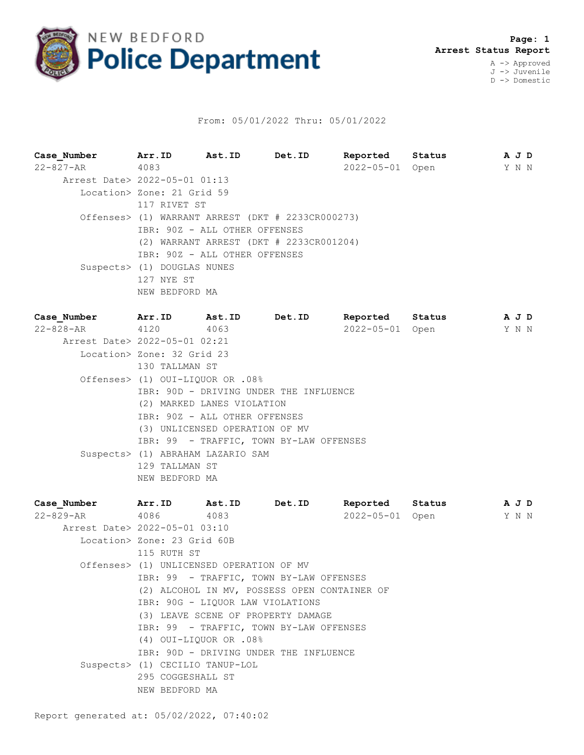

## From: 05/01/2022 Thru: 05/01/2022

**Case\_Number Arr.ID Ast.ID Det.ID Reported Status A J D** 22-827-AR 4083 2022-05-01 Open Y N N Arrest Date> 2022-05-01 01:13 Location> Zone: 21 Grid 59 117 RIVET ST Offenses> (1) WARRANT ARREST (DKT # 2233CR000273) IBR: 90Z - ALL OTHER OFFENSES (2) WARRANT ARREST (DKT # 2233CR001204) IBR: 90Z - ALL OTHER OFFENSES Suspects> (1) DOUGLAS NUNES 127 NYE ST NEW BEDFORD MA **Case\_Number Arr.ID Ast.ID Det.ID Reported Status A J D** 22-828-AR 4120 4063 2022-05-01 Open Y N N Arrest Date> 2022-05-01 02:21 Location> Zone: 32 Grid 23 130 TALLMAN ST Offenses> (1) OUI-LIQUOR OR .08% IBR: 90D - DRIVING UNDER THE INFLUENCE (2) MARKED LANES VIOLATION IBR: 90Z - ALL OTHER OFFENSES (3) UNLICENSED OPERATION OF MV IBR: 99 - TRAFFIC, TOWN BY-LAW OFFENSES Suspects> (1) ABRAHAM LAZARIO SAM 129 TALLMAN ST NEW BEDFORD MA **Case\_Number Arr.ID Ast.ID Det.ID Reported Status A J D**

| 22-829-AR 4086 4083                      |  |                                                                                                                                                                                   |  |                                                                                                                                                                              |  |  |  |
|------------------------------------------|--|-----------------------------------------------------------------------------------------------------------------------------------------------------------------------------------|--|------------------------------------------------------------------------------------------------------------------------------------------------------------------------------|--|--|--|
|                                          |  |                                                                                                                                                                                   |  | 2022-05-01 Open Y N N                                                                                                                                                        |  |  |  |
|                                          |  |                                                                                                                                                                                   |  |                                                                                                                                                                              |  |  |  |
|                                          |  |                                                                                                                                                                                   |  |                                                                                                                                                                              |  |  |  |
|                                          |  |                                                                                                                                                                                   |  |                                                                                                                                                                              |  |  |  |
| Offenses> (1) UNLICENSED OPERATION OF MV |  |                                                                                                                                                                                   |  |                                                                                                                                                                              |  |  |  |
|                                          |  |                                                                                                                                                                                   |  |                                                                                                                                                                              |  |  |  |
|                                          |  |                                                                                                                                                                                   |  |                                                                                                                                                                              |  |  |  |
| IBR: 90G - LIQUOR LAW VIOLATIONS         |  |                                                                                                                                                                                   |  |                                                                                                                                                                              |  |  |  |
| (3) LEAVE SCENE OF PROPERTY DAMAGE       |  |                                                                                                                                                                                   |  |                                                                                                                                                                              |  |  |  |
|                                          |  |                                                                                                                                                                                   |  |                                                                                                                                                                              |  |  |  |
|                                          |  |                                                                                                                                                                                   |  |                                                                                                                                                                              |  |  |  |
|                                          |  |                                                                                                                                                                                   |  |                                                                                                                                                                              |  |  |  |
|                                          |  |                                                                                                                                                                                   |  |                                                                                                                                                                              |  |  |  |
|                                          |  |                                                                                                                                                                                   |  |                                                                                                                                                                              |  |  |  |
|                                          |  |                                                                                                                                                                                   |  |                                                                                                                                                                              |  |  |  |
|                                          |  | Arrest Date> 2022-05-01 03:10<br>Location> Zone: 23 Grid 60B<br>115 RUTH ST<br>$(4)$ OUI-LIOUOR OR .08%<br>Suspects> (1) CECILIO TANUP-LOL<br>295 COGGESHALL ST<br>NEW BEDFORD MA |  | IBR: 99 - TRAFFIC, TOWN BY-LAW OFFENSES<br>(2) ALCOHOL IN MV, POSSESS OPEN CONTAINER OF<br>IBR: 99 - TRAFFIC, TOWN BY-LAW OFFENSES<br>IBR: 90D - DRIVING UNDER THE INFLUENCE |  |  |  |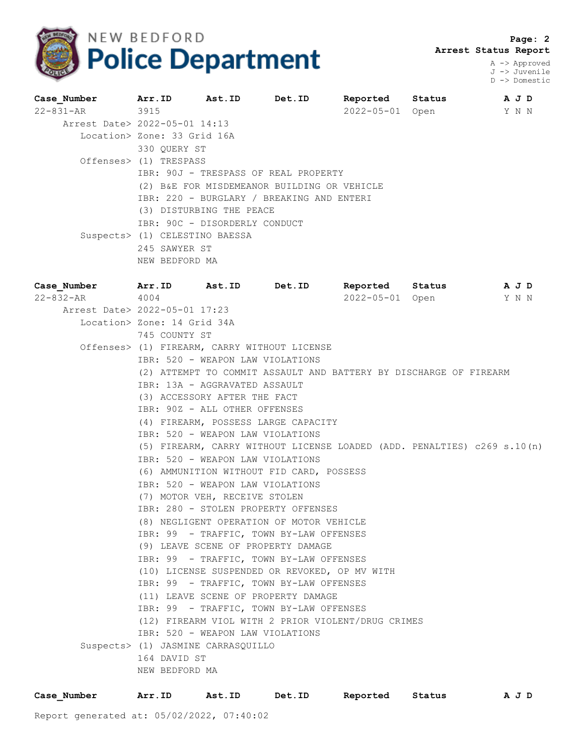

 **Page: 2 Arrest Status Report**

> A -> Approved J -> Juvenile D -> Domestic

|                                             |  |                                                                                                                     | Reported                                                            |  |                           |  |                |
|---------------------------------------------|--|---------------------------------------------------------------------------------------------------------------------|---------------------------------------------------------------------|--|---------------------------|--|----------------|
| 22-831-AR 3915                              |  |                                                                                                                     |                                                                     |  |                           |  |                |
|                                             |  |                                                                                                                     |                                                                     |  |                           |  |                |
| Location> Zone: 33 Grid 16A                 |  |                                                                                                                     |                                                                     |  |                           |  |                |
| 330 OUERY ST                                |  |                                                                                                                     |                                                                     |  |                           |  |                |
| Offenses> (1) TRESPASS                      |  |                                                                                                                     |                                                                     |  |                           |  |                |
| IBR: 90J - TRESPASS OF REAL PROPERTY        |  |                                                                                                                     |                                                                     |  |                           |  |                |
| (2) B&E FOR MISDEMEANOR BUILDING OR VEHICLE |  |                                                                                                                     |                                                                     |  |                           |  |                |
| IBR: 220 - BURGLARY / BREAKING AND ENTERI   |  |                                                                                                                     |                                                                     |  |                           |  |                |
|                                             |  |                                                                                                                     |                                                                     |  |                           |  |                |
|                                             |  |                                                                                                                     |                                                                     |  |                           |  |                |
|                                             |  |                                                                                                                     |                                                                     |  |                           |  |                |
|                                             |  |                                                                                                                     |                                                                     |  |                           |  |                |
|                                             |  |                                                                                                                     |                                                                     |  |                           |  |                |
|                                             |  | Arr.ID Ast.ID<br>Arrest Date> 2022-05-01 14:13<br>Suspects> (1) CELESTINO BAESSA<br>245 SAWYER ST<br>NEW BEDFORD MA | Det.ID<br>(3) DISTURBING THE PEACE<br>IBR: 90C - DISORDERLY CONDUCT |  | Status<br>2022-05-01 Open |  | A J D<br>Y N N |

| Case Number Arr. ID Ast. ID Det. ID |                                    |                               |                                                                         | Reported | Status | A J D                 |
|-------------------------------------|------------------------------------|-------------------------------|-------------------------------------------------------------------------|----------|--------|-----------------------|
| $22 - 832 - AR$ 4004                |                                    |                               |                                                                         |          |        | 2022-05-01 Open Y N N |
| Arrest Date> 2022-05-01 17:23       |                                    |                               |                                                                         |          |        |                       |
|                                     | Location> Zone: 14 Grid 34A        |                               |                                                                         |          |        |                       |
|                                     | 745 COUNTY ST                      |                               |                                                                         |          |        |                       |
|                                     |                                    |                               | Offenses> (1) FIREARM, CARRY WITHOUT LICENSE                            |          |        |                       |
|                                     |                                    |                               | IBR: 520 - WEAPON LAW VIOLATIONS                                        |          |        |                       |
|                                     |                                    |                               | (2) ATTEMPT TO COMMIT ASSAULT AND BATTERY BY DISCHARGE OF FIREARM       |          |        |                       |
|                                     |                                    | IBR: 13A - AGGRAVATED ASSAULT |                                                                         |          |        |                       |
|                                     |                                    | (3) ACCESSORY AFTER THE FACT  |                                                                         |          |        |                       |
|                                     |                                    | IBR: 90Z - ALL OTHER OFFENSES |                                                                         |          |        |                       |
|                                     |                                    |                               | (4) FIREARM, POSSESS LARGE CAPACITY                                     |          |        |                       |
|                                     |                                    |                               | IBR: 520 - WEAPON LAW VIOLATIONS                                        |          |        |                       |
|                                     |                                    |                               | (5) FIREARM, CARRY WITHOUT LICENSE LOADED (ADD. PENALTIES) c269 s.10(n) |          |        |                       |
|                                     |                                    |                               | IBR: 520 - WEAPON LAW VIOLATIONS                                        |          |        |                       |
|                                     |                                    |                               | (6) AMMUNITION WITHOUT FID CARD, POSSESS                                |          |        |                       |
|                                     |                                    |                               | IBR: 520 - WEAPON LAW VIOLATIONS                                        |          |        |                       |
|                                     |                                    | (7) MOTOR VEH, RECEIVE STOLEN |                                                                         |          |        |                       |
|                                     |                                    |                               | IBR: 280 - STOLEN PROPERTY OFFENSES                                     |          |        |                       |
|                                     |                                    |                               | (8) NEGLIGENT OPERATION OF MOTOR VEHICLE                                |          |        |                       |
|                                     |                                    |                               | IBR: 99 - TRAFFIC, TOWN BY-LAW OFFENSES                                 |          |        |                       |
|                                     |                                    |                               | (9) LEAVE SCENE OF PROPERTY DAMAGE                                      |          |        |                       |
|                                     |                                    |                               | IBR: 99 - TRAFFIC, TOWN BY-LAW OFFENSES                                 |          |        |                       |
|                                     |                                    |                               | (10) LICENSE SUSPENDED OR REVOKED, OP MV WITH                           |          |        |                       |
|                                     |                                    |                               | IBR: 99 - TRAFFIC, TOWN BY-LAW OFFENSES                                 |          |        |                       |
|                                     |                                    |                               | (11) LEAVE SCENE OF PROPERTY DAMAGE                                     |          |        |                       |
|                                     |                                    |                               | IBR: 99 - TRAFFIC, TOWN BY-LAW OFFENSES                                 |          |        |                       |
|                                     |                                    |                               | (12) FIREARM VIOL WITH 2 PRIOR VIOLENT/DRUG CRIMES                      |          |        |                       |
|                                     |                                    |                               | IBR: 520 - WEAPON LAW VIOLATIONS                                        |          |        |                       |
|                                     | Suspects> (1) JASMINE CARRASQUILLO |                               |                                                                         |          |        |                       |
|                                     | 164 DAVID ST                       |                               |                                                                         |          |        |                       |
|                                     | NEW BEDFORD MA                     |                               |                                                                         |          |        |                       |
|                                     |                                    |                               |                                                                         |          |        |                       |

| Case Number | Arr.ID | Ast.ID | Det.ID | Reported | Status | A J D |
|-------------|--------|--------|--------|----------|--------|-------|
|             |        |        |        |          |        |       |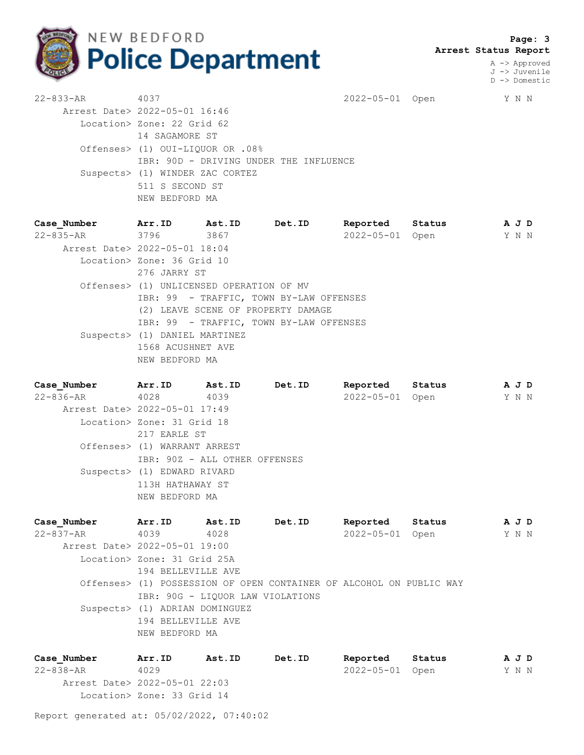

 **Page: 3 Arrest Status Report**

> A -> Approved J -> Juvenile D -> Domestic

| $22 - 833 - AR$ | 4037                                   | 2022-05-01 Open |  | Y N N |  |  |  |
|-----------------|----------------------------------------|-----------------|--|-------|--|--|--|
|                 | Arrest Date> 2022-05-01 16:46          |                 |  |       |  |  |  |
|                 | Location> Zone: 22 Grid 62             |                 |  |       |  |  |  |
|                 | 14 SAGAMORE ST                         |                 |  |       |  |  |  |
|                 | Offenses> (1) OUI-LIQUOR OR .08%       |                 |  |       |  |  |  |
|                 | IBR: 90D - DRIVING UNDER THE INFLUENCE |                 |  |       |  |  |  |
|                 | Suspects> (1) WINDER ZAC CORTEZ        |                 |  |       |  |  |  |
|                 | 511 S SECOND ST                        |                 |  |       |  |  |  |
|                 | NEW BEDFORD MA                         |                 |  |       |  |  |  |
|                 |                                        |                 |  |       |  |  |  |

**Case\_Number Arr.ID Ast.ID Det.ID Reported Status A J D** 22-835-AR 3796 3867 2022-05-01 Open Y N N Arrest Date> 2022-05-01 18:04 Location> Zone: 36 Grid 10 276 JARRY ST Offenses> (1) UNLICENSED OPERATION OF MV IBR: 99 - TRAFFIC, TOWN BY-LAW OFFENSES (2) LEAVE SCENE OF PROPERTY DAMAGE IBR: 99 - TRAFFIC, TOWN BY-LAW OFFENSES Suspects> (1) DANIEL MARTINEZ 1568 ACUSHNET AVE NEW BEDFORD MA

**Case\_Number Arr.ID Ast.ID Det.ID Reported Status A J D** 22-836-AR 4028 4039 2022-05-01 Open Y N N Arrest Date> 2022-05-01 17:49 Location> Zone: 31 Grid 18 217 EARLE ST Offenses> (1) WARRANT ARREST IBR: 90Z - ALL OTHER OFFENSES Suspects> (1) EDWARD RIVARD 113H HATHAWAY ST NEW BEDFORD MA

**Case\_Number Arr.ID Ast.ID Det.ID Reported Status A J D** 22-837-AR 4039 4028 2022-05-01 Open Y N N Arrest Date> 2022-05-01 19:00 Location> Zone: 31 Grid 25A 194 BELLEVILLE AVE Offenses> (1) POSSESSION OF OPEN CONTAINER OF ALCOHOL ON PUBLIC WAY IBR: 90G - LIQUOR LAW VIOLATIONS Suspects> (1) ADRIAN DOMINGUEZ 194 BELLEVILLE AVE NEW BEDFORD MA

**Case\_Number Arr.ID Ast.ID Det.ID Reported Status A J D** 22-838-AR 4029 2022-05-01 Open Y N N Arrest Date> 2022-05-01 22:03 Location> Zone: 33 Grid 14

Report generated at: 05/02/2022, 07:40:02